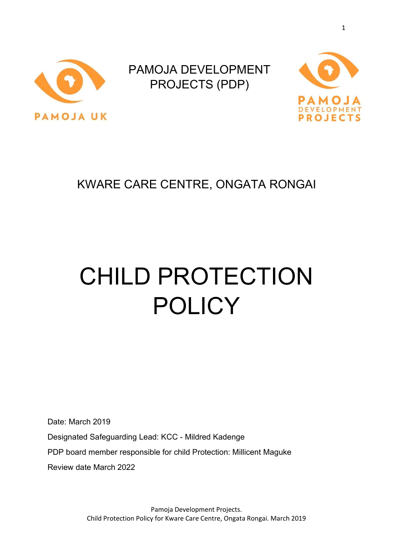

PAMOJA DEVELOPMENT PROJECTS (PDP)



# KWARE CARE CENTRE, ONGATA RONGAI

# CHILD PROTECTION POLICY

Date: March 2019

Designated Safeguarding Lead: KCC - Mildred Kadenge

PDP board member responsible for child Protection: Millicent Maguke

Review date March 2022

Pamoja Development Projects. Child Protection Policy for Kware Care Centre, Ongata Rongai. March 2019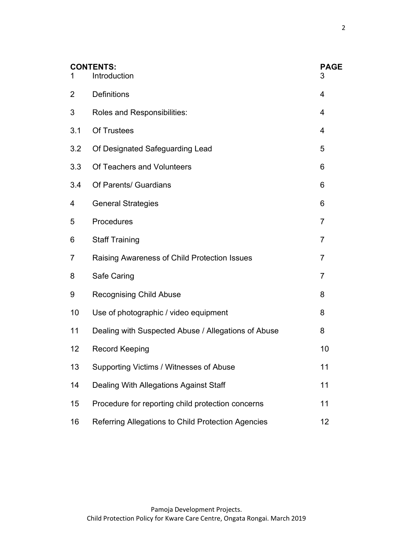| 1   | <b>CONTENTS:</b><br>Introduction                    | <b>PAGE</b><br>3 |
|-----|-----------------------------------------------------|------------------|
| 2   | <b>Definitions</b>                                  | 4                |
| 3   | Roles and Responsibilities:                         | 4                |
| 3.1 | <b>Of Trustees</b>                                  | 4                |
| 3.2 | Of Designated Safeguarding Lead                     | 5                |
| 3.3 | Of Teachers and Volunteers                          | 6                |
| 3.4 | Of Parents/ Guardians                               | 6                |
| 4   | <b>General Strategies</b>                           | 6                |
| 5   | Procedures                                          | 7                |
| 6   | <b>Staff Training</b>                               | 7                |
| 7   | Raising Awareness of Child Protection Issues        | $\overline{7}$   |
| 8   | Safe Caring                                         | 7                |
| 9   | <b>Recognising Child Abuse</b>                      | 8                |
| 10  | Use of photographic / video equipment               | 8                |
| 11  | Dealing with Suspected Abuse / Allegations of Abuse | 8                |
| 12  | <b>Record Keeping</b>                               | 10               |
| 13  | Supporting Victims / Witnesses of Abuse             | 11               |
| 14  | Dealing With Allegations Against Staff              | 11               |
| 15  | Procedure for reporting child protection concerns   | 11               |
| 16  | Referring Allegations to Child Protection Agencies  | 12               |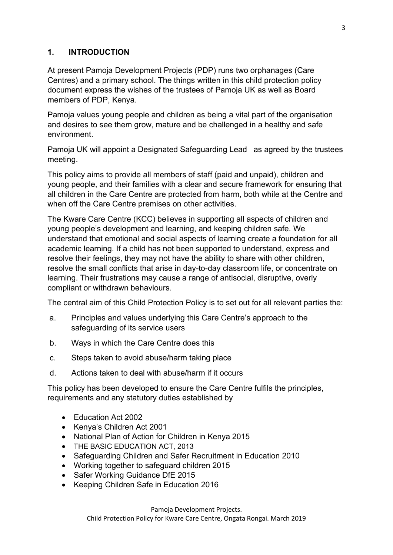#### 1. INTRODUCTION

At present Pamoja Development Projects (PDP) runs two orphanages (Care Centres) and a primary school. The things written in this child protection policy document express the wishes of the trustees of Pamoja UK as well as Board members of PDP, Kenya.

Pamoja values young people and children as being a vital part of the organisation and desires to see them grow, mature and be challenged in a healthy and safe environment.

Pamoja UK will appoint a Designated Safeguarding Lead as agreed by the trustees meeting.

This policy aims to provide all members of staff (paid and unpaid), children and young people, and their families with a clear and secure framework for ensuring that all children in the Care Centre are protected from harm, both while at the Centre and when off the Care Centre premises on other activities.

The Kware Care Centre (KCC) believes in supporting all aspects of children and young people's development and learning, and keeping children safe. We understand that emotional and social aspects of learning create a foundation for all academic learning. If a child has not been supported to understand, express and resolve their feelings, they may not have the ability to share with other children, resolve the small conflicts that arise in day-to-day classroom life, or concentrate on learning. Their frustrations may cause a range of antisocial, disruptive, overly compliant or withdrawn behaviours.

The central aim of this Child Protection Policy is to set out for all relevant parties the:

- a. Principles and values underlying this Care Centre's approach to the safeguarding of its service users
- b. Ways in which the Care Centre does this
- c. Steps taken to avoid abuse/harm taking place
- d. Actions taken to deal with abuse/harm if it occurs

This policy has been developed to ensure the Care Centre fulfils the principles, requirements and any statutory duties established by

- Education Act 2002
- Kenya's Children Act 2001
- National Plan of Action for Children in Kenya 2015
- THE BASIC EDUCATION ACT, 2013
- Safeguarding Children and Safer Recruitment in Education 2010
- Working together to safeguard children 2015
- Safer Working Guidance DfE 2015
- Keeping Children Safe in Education 2016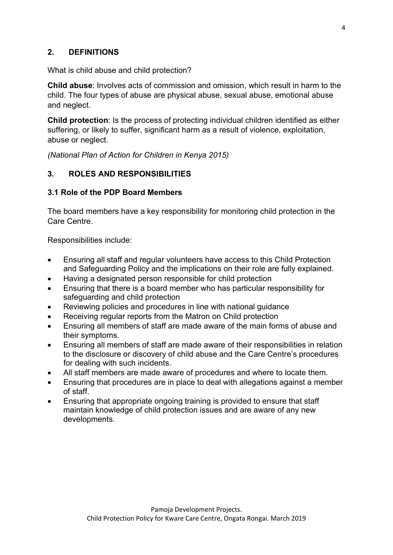# 2. DEFINITIONS

What is child abuse and child protection?

Child abuse: Involves acts of commission and omission, which result in harm to the child. The four types of abuse are physical abuse, sexual abuse, emotional abuse and neglect.

Child protection: Is the process of protecting individual children identified as either suffering, or likely to suffer, significant harm as a result of violence, exploitation, abuse or neglect.

(National Plan of Action for Children in Kenya 2015)

#### 3. ROLES AND RESPONSIBILITIES

#### 3.1 Role of the PDP Board Members

The board members have a key responsibility for monitoring child protection in the Care Centre.

Responsibilities include:

- Ensuring all staff and regular volunteers have access to this Child Protection and Safeguarding Policy and the implications on their role are fully explained.
- Having a designated person responsible for child protection
- Ensuring that there is a board member who has particular responsibility for safeguarding and child protection
- Reviewing policies and procedures in line with national guidance
- Receiving regular reports from the Matron on Child protection
- Ensuring all members of staff are made aware of the main forms of abuse and their symptoms.
- Ensuring all members of staff are made aware of their responsibilities in relation to the disclosure or discovery of child abuse and the Care Centre's procedures for dealing with such incidents.
- All staff members are made aware of procedures and where to locate them.
- Ensuring that procedures are in place to deal with allegations against a member of staff.
- Ensuring that appropriate ongoing training is provided to ensure that staff maintain knowledge of child protection issues and are aware of any new developments.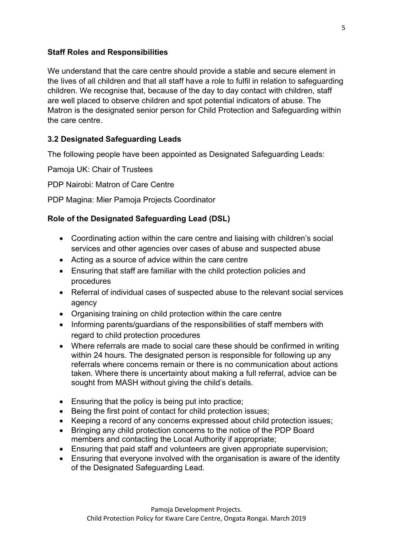#### Staff Roles and Responsibilities

We understand that the care centre should provide a stable and secure element in the lives of all children and that all staff have a role to fulfil in relation to safeguarding children. We recognise that, because of the day to day contact with children, staff are well placed to observe children and spot potential indicators of abuse. The Matron is the designated senior person for Child Protection and Safeguarding within the care centre.

# 3.2 Designated Safeguarding Leads

The following people have been appointed as Designated Safeguarding Leads:

Pamoja UK: Chair of Trustees

PDP Nairobi: Matron of Care Centre

PDP Magina: Mier Pamoja Projects Coordinator

#### Role of the Designated Safeguarding Lead (DSL)

- Coordinating action within the care centre and liaising with children's social services and other agencies over cases of abuse and suspected abuse
- Acting as a source of advice within the care centre
- Ensuring that staff are familiar with the child protection policies and procedures
- Referral of individual cases of suspected abuse to the relevant social services agency
- Organising training on child protection within the care centre
- Informing parents/guardians of the responsibilities of staff members with regard to child protection procedures
- Where referrals are made to social care these should be confirmed in writing within 24 hours. The designated person is responsible for following up any referrals where concerns remain or there is no communication about actions taken. Where there is uncertainty about making a full referral, advice can be sought from MASH without giving the child's details.
- Ensuring that the policy is being put into practice;
- Being the first point of contact for child protection issues;
- Keeping a record of any concerns expressed about child protection issues;
- Bringing any child protection concerns to the notice of the PDP Board members and contacting the Local Authority if appropriate;
- Ensuring that paid staff and volunteers are given appropriate supervision;
- Ensuring that everyone involved with the organisation is aware of the identity of the Designated Safeguarding Lead.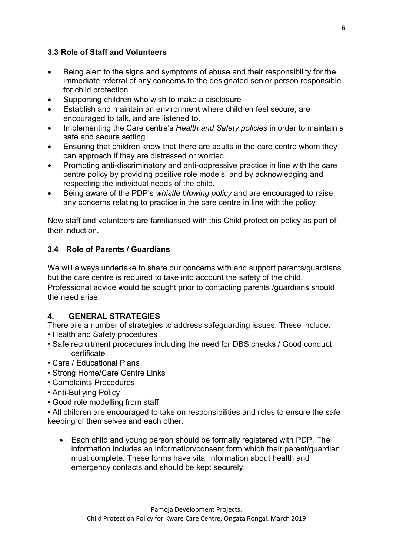## 3.3 Role of Staff and Volunteers

- Being alert to the signs and symptoms of abuse and their responsibility for the immediate referral of any concerns to the designated senior person responsible for child protection.
- Supporting children who wish to make a disclosure
- Establish and maintain an environment where children feel secure, are encouraged to talk, and are listened to.
- Implementing the Care centre's Health and Safety policies in order to maintain a safe and secure setting.
- Ensuring that children know that there are adults in the care centre whom they can approach if they are distressed or worried.
- Promoting anti-discriminatory and anti-oppressive practice in line with the care centre policy by providing positive role models, and by acknowledging and respecting the individual needs of the child.
- Being aware of the PDP's whistle blowing policy and are encouraged to raise any concerns relating to practice in the care centre in line with the policy

New staff and volunteers are familiarised with this Child protection policy as part of their induction.

## 3.4 Role of Parents / Guardians

We will always undertake to share our concerns with and support parents/guardians but the care centre is required to take into account the safety of the child. Professional advice would be sought prior to contacting parents /guardians should the need arise.

#### 4. GENERAL STRATEGIES

There are a number of strategies to address safeguarding issues. These include: • Health and Safety procedures

- Safe recruitment procedures including the need for DBS checks / Good conduct certificate
- Care / Educational Plans
- Strong Home/Care Centre Links
- Complaints Procedures
- Anti-Bullying Policy
- Good role modelling from staff

• All children are encouraged to take on responsibilities and roles to ensure the safe keeping of themselves and each other.

 Each child and young person should be formally registered with PDP. The information includes an information/consent form which their parent/guardian must complete. These forms have vital information about health and emergency contacts and should be kept securely.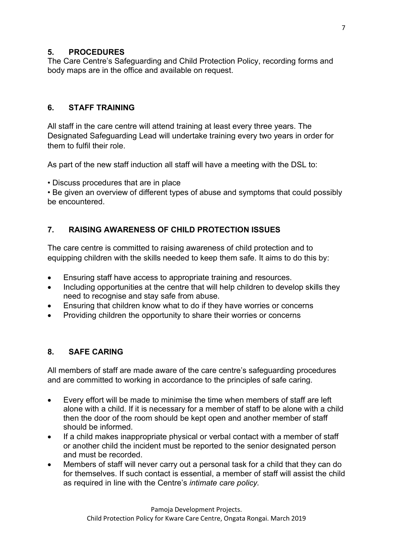# 5. PROCEDURES

The Care Centre's Safeguarding and Child Protection Policy, recording forms and body maps are in the office and available on request.

# 6. STAFF TRAINING

All staff in the care centre will attend training at least every three years. The Designated Safeguarding Lead will undertake training every two years in order for them to fulfil their role.

As part of the new staff induction all staff will have a meeting with the DSL to:

• Discuss procedures that are in place

• Be given an overview of different types of abuse and symptoms that could possibly be encountered.

# 7. RAISING AWARENESS OF CHILD PROTECTION ISSUES

The care centre is committed to raising awareness of child protection and to equipping children with the skills needed to keep them safe. It aims to do this by:

- Ensuring staff have access to appropriate training and resources.
- Including opportunities at the centre that will help children to develop skills they need to recognise and stay safe from abuse.
- Ensuring that children know what to do if they have worries or concerns
- Providing children the opportunity to share their worries or concerns

# 8. SAFE CARING

All members of staff are made aware of the care centre's safeguarding procedures and are committed to working in accordance to the principles of safe caring.

- Every effort will be made to minimise the time when members of staff are left alone with a child. If it is necessary for a member of staff to be alone with a child then the door of the room should be kept open and another member of staff should be informed.
- If a child makes inappropriate physical or verbal contact with a member of staff or another child the incident must be reported to the senior designated person and must be recorded.
- Members of staff will never carry out a personal task for a child that they can do for themselves. If such contact is essential, a member of staff will assist the child as required in line with the Centre's intimate care policy.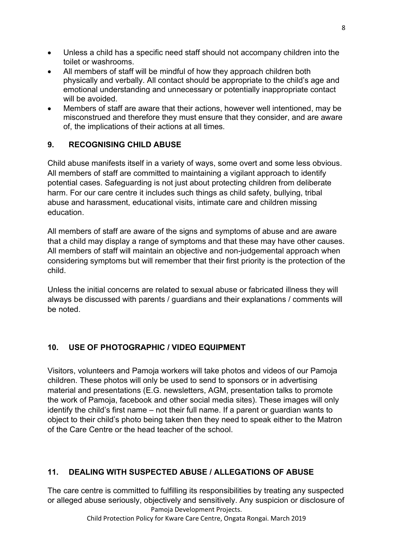- Unless a child has a specific need staff should not accompany children into the toilet or washrooms.
- All members of staff will be mindful of how they approach children both physically and verbally. All contact should be appropriate to the child's age and emotional understanding and unnecessary or potentially inappropriate contact will be avoided.
- Members of staff are aware that their actions, however well intentioned, may be misconstrued and therefore they must ensure that they consider, and are aware of, the implications of their actions at all times.

## 9. RECOGNISING CHILD ABUSE

Child abuse manifests itself in a variety of ways, some overt and some less obvious. All members of staff are committed to maintaining a vigilant approach to identify potential cases. Safeguarding is not just about protecting children from deliberate harm. For our care centre it includes such things as child safety, bullying, tribal abuse and harassment, educational visits, intimate care and children missing education.

All members of staff are aware of the signs and symptoms of abuse and are aware that a child may display a range of symptoms and that these may have other causes. All members of staff will maintain an objective and non-judgemental approach when considering symptoms but will remember that their first priority is the protection of the child.

Unless the initial concerns are related to sexual abuse or fabricated illness they will always be discussed with parents / guardians and their explanations / comments will be noted.

#### 10. USE OF PHOTOGRAPHIC / VIDEO EQUIPMENT

Visitors, volunteers and Pamoja workers will take photos and videos of our Pamoja children. These photos will only be used to send to sponsors or in advertising material and presentations (E.G. newsletters, AGM, presentation talks to promote the work of Pamoja, facebook and other social media sites). These images will only identify the child's first name – not their full name. If a parent or guardian wants to object to their child's photo being taken then they need to speak either to the Matron of the Care Centre or the head teacher of the school.

#### 11. DEALING WITH SUSPECTED ABUSE / ALLEGATIONS OF ABUSE

Pamoja Development Projects. The care centre is committed to fulfilling its responsibilities by treating any suspected or alleged abuse seriously, objectively and sensitively. Any suspicion or disclosure of

Child Protection Policy for Kware Care Centre, Ongata Rongai. March 2019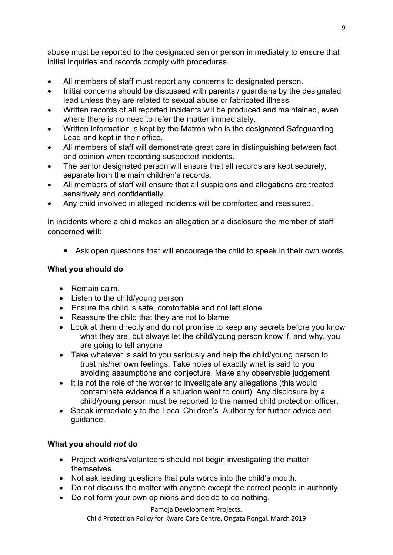abuse must be reported to the designated senior person immediately to ensure that initial inquiries and records comply with procedures.

- All members of staff must report any concerns to designated person.
- Initial concerns should be discussed with parents / quardians by the designated lead unless they are related to sexual abuse or fabricated illness.
- Written records of all reported incidents will be produced and maintained, even where there is no need to refer the matter immediately.
- Written information is kept by the Matron who is the designated Safeguarding Lead and kept in their office.
- All members of staff will demonstrate great care in distinguishing between fact and opinion when recording suspected incidents.
- The senior designated person will ensure that all records are kept securely, separate from the main children's records.
- All members of staff will ensure that all suspicions and allegations are treated sensitively and confidentially.
- Any child involved in alleged incidents will be comforted and reassured.

In incidents where a child makes an allegation or a disclosure the member of staff concerned will:

Ask open questions that will encourage the child to speak in their own words.

## What you should do

- Remain calm.
- Listen to the child/young person
- Ensure the child is safe, comfortable and not left alone.
- Reassure the child that they are not to blame.
- Look at them directly and do not promise to keep any secrets before you know what they are, but always let the child/young person know if, and why, you are going to tell anyone
- Take whatever is said to you seriously and help the child/young person to trust his/her own feelings. Take notes of exactly what is said to you avoiding assumptions and conjecture. Make any observable judgement
- It is not the role of the worker to investigate any allegations (this would contaminate evidence if a situation went to court). Any disclosure by a child/young person must be reported to the named child protection officer.
- Speak immediately to the Local Children's Authority for further advice and guidance.

#### What you should not do

- Project workers/volunteers should not begin investigating the matter themselves.
- Not ask leading questions that puts words into the child's mouth.
- Do not discuss the matter with anyone except the correct people in authority.
- Do not form your own opinions and decide to do nothing.

#### Pamoja Development Projects.

Child Protection Policy for Kware Care Centre, Ongata Rongai. March 2019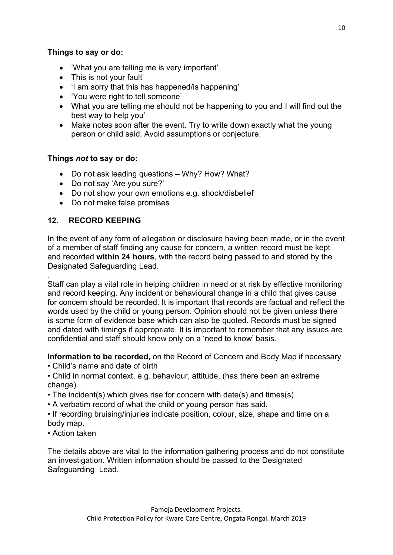#### Things to say or do:

- 'What you are telling me is very important'
- This is not your fault'
- 'I am sorry that this has happened/is happening'
- 'You were right to tell someone'
- What you are telling me should not be happening to you and I will find out the best way to help you'
- Make notes soon after the event. Try to write down exactly what the young person or child said. Avoid assumptions or conjecture.

#### Things not to say or do:

- Do not ask leading questions Why? How? What?
- Do not say 'Are you sure?'
- Do not show your own emotions e.g. shock/disbelief
- Do not make false promises

#### 12. RECORD KEEPING

In the event of any form of allegation or disclosure having been made, or in the event of a member of staff finding any cause for concern, a written record must be kept and recorded within 24 hours, with the record being passed to and stored by the Designated Safeguarding Lead.

. Staff can play a vital role in helping children in need or at risk by effective monitoring and record keeping. Any incident or behavioural change in a child that gives cause for concern should be recorded. It is important that records are factual and reflect the words used by the child or young person. Opinion should not be given unless there is some form of evidence base which can also be quoted. Records must be signed and dated with timings if appropriate. It is important to remember that any issues are confidential and staff should know only on a 'need to know' basis.

Information to be recorded, on the Record of Concern and Body Map if necessary

• Child's name and date of birth

• Child in normal context, e.g. behaviour, attitude, (has there been an extreme change)

- The incident(s) which gives rise for concern with date(s) and times(s)
- A verbatim record of what the child or young person has said.

• If recording bruising/injuries indicate position, colour, size, shape and time on a body map.

• Action taken

The details above are vital to the information gathering process and do not constitute an investigation. Written information should be passed to the Designated Safeguarding Lead.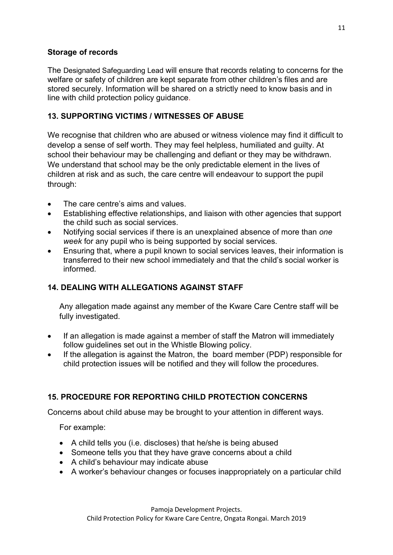#### Storage of records

The Designated Safeguarding Lead will ensure that records relating to concerns for the welfare or safety of children are kept separate from other children's files and are stored securely. Information will be shared on a strictly need to know basis and in line with child protection policy guidance.

#### 13. SUPPORTING VICTIMS / WITNESSES OF ABUSE

We recognise that children who are abused or witness violence may find it difficult to develop a sense of self worth. They may feel helpless, humiliated and guilty. At school their behaviour may be challenging and defiant or they may be withdrawn. We understand that school may be the only predictable element in the lives of children at risk and as such, the care centre will endeavour to support the pupil through:

- The care centre's aims and values.
- Establishing effective relationships, and liaison with other agencies that support the child such as social services.
- Notifying social services if there is an unexplained absence of more than one week for any pupil who is being supported by social services.
- Ensuring that, where a pupil known to social services leaves, their information is transferred to their new school immediately and that the child's social worker is informed.

# 14. DEALING WITH ALLEGATIONS AGAINST STAFF

Any allegation made against any member of the Kware Care Centre staff will be fully investigated.

- If an allegation is made against a member of staff the Matron will immediately follow guidelines set out in the Whistle Blowing policy.
- If the allegation is against the Matron, the board member (PDP) responsible for child protection issues will be notified and they will follow the procedures.

# 15. PROCEDURE FOR REPORTING CHILD PROTECTION CONCERNS

Concerns about child abuse may be brought to your attention in different ways.

For example:

- A child tells you (i.e. discloses) that he/she is being abused
- Someone tells you that they have grave concerns about a child
- A child's behaviour may indicate abuse
- A worker's behaviour changes or focuses inappropriately on a particular child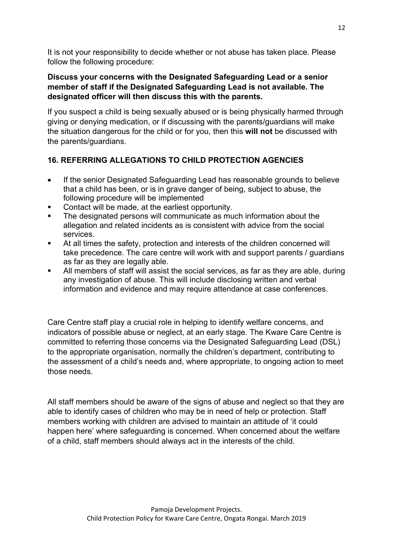It is not your responsibility to decide whether or not abuse has taken place. Please follow the following procedure:

#### Discuss your concerns with the Designated Safeguarding Lead or a senior member of staff if the Designated Safeguarding Lead is not available. The designated officer will then discuss this with the parents.

If you suspect a child is being sexually abused or is being physically harmed through giving or denying medication, or if discussing with the parents/guardians will make the situation dangerous for the child or for you, then this will not be discussed with the parents/guardians.

# 16. REFERRING ALLEGATIONS TO CHILD PROTECTION AGENCIES

- If the senior Designated Safeguarding Lead has reasonable grounds to believe that a child has been, or is in grave danger of being, subject to abuse, the following procedure will be implemented
- Contact will be made, at the earliest opportunity.
- The designated persons will communicate as much information about the allegation and related incidents as is consistent with advice from the social services.
- At all times the safety, protection and interests of the children concerned will take precedence. The care centre will work with and support parents / guardians as far as they are legally able.
- All members of staff will assist the social services, as far as they are able, during any investigation of abuse. This will include disclosing written and verbal information and evidence and may require attendance at case conferences.

Care Centre staff play a crucial role in helping to identify welfare concerns, and indicators of possible abuse or neglect, at an early stage. The Kware Care Centre is committed to referring those concerns via the Designated Safeguarding Lead (DSL) to the appropriate organisation, normally the children's department, contributing to the assessment of a child's needs and, where appropriate, to ongoing action to meet those needs.

All staff members should be aware of the signs of abuse and neglect so that they are able to identify cases of children who may be in need of help or protection. Staff members working with children are advised to maintain an attitude of 'it could happen here' where safeguarding is concerned. When concerned about the welfare of a child, staff members should always act in the interests of the child.